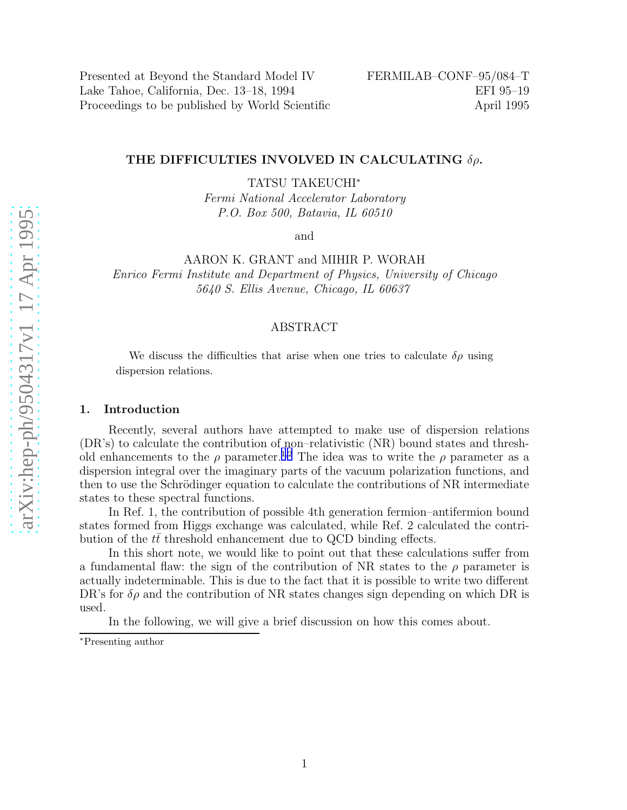Presented at Beyond the Standard Model IV FERMILAB–CONF–95/084–T Lake Tahoe, California, Dec. 13–18, 1994 EFI 95–19 Proceedings to be published by World Scientific April 1995

# THE DIFFICULTIES INVOLVED IN CALCULATING  $\delta \rho.$

TATSU TAKEUCHI ∗

Fermi National Accelerator Laboratory P.O. Box 500, Batavia, IL 60510

and

AARON K. GRANT and MIHIR P. WORAH

Enrico Fermi Institute and Department of Physics, University of Chicago 5640 S. Ellis Avenue, Chicago, IL 60637

# ABSTRACT

We discuss the difficulties that arise when one tries to calculate  $\delta \rho$  using dispersion relations.

## 1. Introduction

Recently, several authors have attempted to make use of dispersion relations (DR's) to calculate the contribution of non–relativistic (NR) bound states and threshold enhancements to the  $\rho$  parameter.<sup>[1,2](#page-3-0)</sup> The idea was to write the  $\rho$  parameter as a dispersion integral over the imaginary parts of the vacuum polarization functions, and then to use the Schrödinger equation to calculate the contributions of NR intermediate states to these spectral functions.

In Ref. 1, the contribution of possible 4th generation fermion–antifermion bound states formed from Higgs exchange was calculated, while Ref. 2 calculated the contribution of the  $t\bar{t}$  threshold enhancement due to QCD binding effects.

In this short note, we would like to point out that these calculations suffer from a fundamental flaw: the sign of the contribution of NR states to the  $\rho$  parameter is actually indeterminable. This is due to the fact that it is possible to write two different DR's for  $\delta \rho$  and the contribution of NR states changes sign depending on which DR is used.

In the following, we will give a brief discussion on how this comes about.

<sup>∗</sup>Presenting author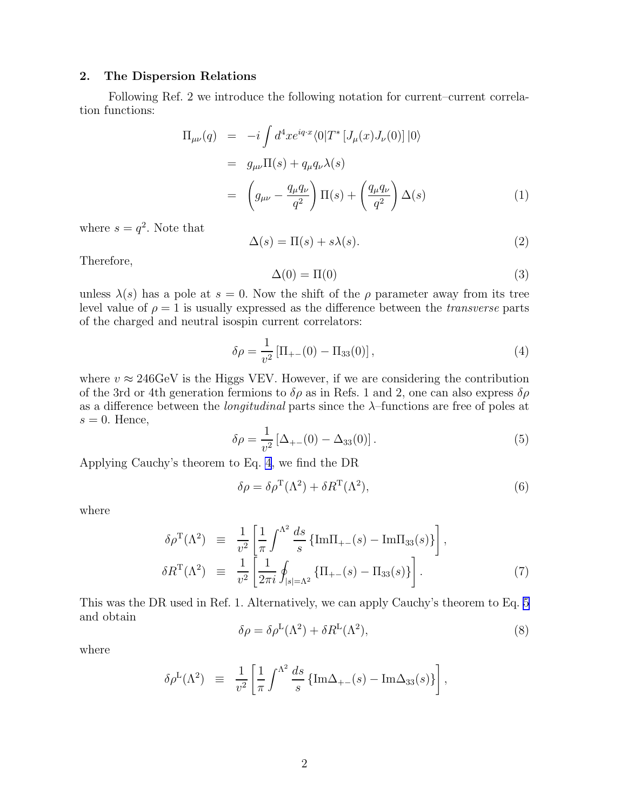# <span id="page-1-0"></span>2. The Dispersion Relations

Following Ref. 2 we introduce the following notation for current–current correlation functions:

$$
\Pi_{\mu\nu}(q) = -i \int d^4x e^{iq \cdot x} \langle 0|T^* [J_\mu(x)J_\nu(0)]|0\rangle
$$
  
\n
$$
= g_{\mu\nu} \Pi(s) + q_\mu q_\nu \lambda(s)
$$
  
\n
$$
= \left( g_{\mu\nu} - \frac{q_\mu q_\nu}{q^2} \right) \Pi(s) + \left( \frac{q_\mu q_\nu}{q^2} \right) \Delta(s)
$$
 (1)

where  $s = q^2$ . Note that

$$
\Delta(s) = \Pi(s) + s\lambda(s). \tag{2}
$$

Therefore,

$$
\Delta(0) = \Pi(0) \tag{3}
$$

unless  $\lambda(s)$  has a pole at  $s = 0$ . Now the shift of the  $\rho$  parameter away from its tree level value of  $\rho = 1$  is usually expressed as the difference between the *transverse* parts of the charged and neutral isospin current correlators:

$$
\delta \rho = \frac{1}{v^2} \left[ \Pi_{+-}(0) - \Pi_{33}(0) \right],\tag{4}
$$

where  $v \approx 246 \text{GeV}$  is the Higgs VEV. However, if we are considering the contribution of the 3rd or 4th generation fermions to  $\delta \rho$  as in Refs. 1 and 2, one can also express  $\delta \rho$ as a difference between the *longitudinal* parts since the  $\lambda$ -functions are free of poles at  $s = 0$ . Hence,

$$
\delta \rho = \frac{1}{v^2} \left[ \Delta_{+-}(0) - \Delta_{33}(0) \right]. \tag{5}
$$

Applying Cauchy's theorem to Eq. 4, we find the DR

$$
\delta \rho = \delta \rho^{\mathcal{T}}(\Lambda^2) + \delta R^{\mathcal{T}}(\Lambda^2),\tag{6}
$$

where

$$
\delta \rho^{T}(\Lambda^{2}) \equiv \frac{1}{v^{2}} \left[ \frac{1}{\pi} \int^{\Lambda^{2}} \frac{ds}{s} \left\{ \text{Im} \Pi_{+-}(s) - \text{Im} \Pi_{33}(s) \right\} \right],
$$
  
\n
$$
\delta R^{T}(\Lambda^{2}) \equiv \frac{1}{v^{2}} \left[ \frac{1}{2\pi i} \oint_{|s|=\Lambda^{2}} \left\{ \Pi_{+-}(s) - \Pi_{33}(s) \right\} \right].
$$
\n(7)

This was the DR used in Ref. 1. Alternatively, we can apply Cauchy's theorem to Eq. 5 and obtain

$$
\delta \rho = \delta \rho^{\mathcal{L}}(\Lambda^2) + \delta R^{\mathcal{L}}(\Lambda^2),\tag{8}
$$

where

$$
\delta \rho^{\mathcal{L}}(\Lambda^2) \equiv \frac{1}{v^2} \left[ \frac{1}{\pi} \int^{\Lambda^2} \frac{ds}{s} \left\{ \mathrm{Im} \Delta_{+-}(s) - \mathrm{Im} \Delta_{33}(s) \right\} \right],
$$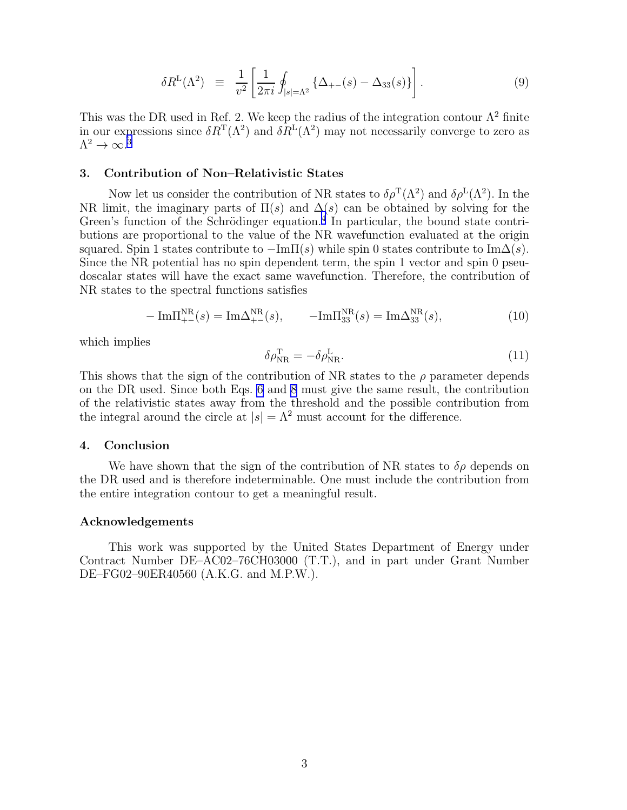$$
\delta R^{L}(\Lambda^{2}) \equiv \frac{1}{v^{2}} \left[ \frac{1}{2\pi i} \oint_{|s|= \Lambda^{2}} \left\{ \Delta_{+-}(s) - \Delta_{33}(s) \right\} \right]. \tag{9}
$$

This was the DR used in Ref. 2. We keep the radius of the integration contour  $\Lambda^2$  finite in our expressions since  $\delta R^{T}(\Lambda^{2})$  and  $\delta R^{L}(\Lambda^{2})$  may not necessarily converge to zero as  $\Lambda^2\to\infty.^3$  $\Lambda^2\to\infty.^3$ 

#### 3. Contribution of Non–Relativistic States

Now let us consider the contribution of NR states to  $\delta \rho^T(\Lambda^2)$  and  $\delta \rho^L(\Lambda^2)$ . In the NR limit, the imaginary parts of  $\Pi(s)$  and  $\Delta(s)$  can be obtained by solving for the Green's function of the Schrödinger equation.<sup>[4](#page-3-0)</sup> In particular, the bound state contributions are proportional to the value of the NR wavefunction evaluated at the origin squared. Spin 1 states contribute to  $-\text{Im}\Pi(s)$  while spin 0 states contribute to  $\text{Im}\Delta(s)$ . Since the NR potential has no spin dependent term, the spin 1 vector and spin 0 pseudoscalar states will have the exact same wavefunction. Therefore, the contribution of NR states to the spectral functions satisfies

$$
-\operatorname{Im}\Pi_{+-}^{\text{NR}}(s) = \operatorname{Im}\Delta_{+-}^{\text{NR}}(s), \qquad -\operatorname{Im}\Pi_{33}^{\text{NR}}(s) = \operatorname{Im}\Delta_{33}^{\text{NR}}(s), \tag{10}
$$

which implies

$$
\delta \rho_{\rm NR}^{\rm T} = -\delta \rho_{\rm NR}^{\rm L}.
$$
\n(11)

This shows that the sign of the contribution of NR states to the  $\rho$  parameter depends on the DR used. Since both Eqs. [6](#page-1-0) and [8](#page-1-0) must give the same result, the contribution of the relativistic states away from the threshold and the possible contribution from the integral around the circle at  $|s| = \Lambda^2$  must account for the difference.

## 4. Conclusion

We have shown that the sign of the contribution of NR states to  $\delta \rho$  depends on the DR used and is therefore indeterminable. One must include the contribution from the entire integration contour to get a meaningful result.

## Acknowledgements

This work was supported by the United States Department of Energy under Contract Number DE–AC02–76CH03000 (T.T.), and in part under Grant Number DE–FG02–90ER40560 (A.K.G. and M.P.W.).